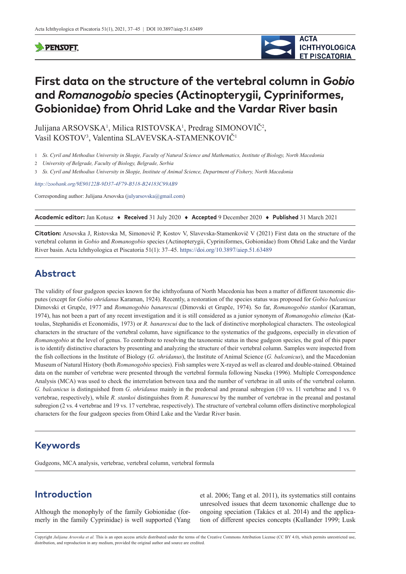### **PENSOFT**



# **First data on the structure of the vertebral column in** *Gobio* **and** *Romanogobio* **species (Actinopterygii, Cypriniformes, Gobionidae) from Ohrid Lake and the Vardar River basin**

Julijana ARSOVSKA<sup>1</sup>, Milica RISTOVSKA<sup>1</sup>, Predrag SIMONOVIČ<sup>2</sup>, Vasil KOSTOV3 , Valentina SLAVEVSKA-STAMENKOVIČ<sup>1</sup>

1 *Ss. Cyril and Methodius University in Skopje, Faculty of Natural Science and Mathematics, Institute of Biology, North Macedonia*

2 *University of Belgrade, Faculty of Biology, Belgrade, Serbia*

3 *Ss. Cyril and Methodius University in Skopje, Institute of Animal Science, Department of Fishery, North Macedonia*

*<http://zoobank.org/9E90122B-9D37-4F79-B518-B24183C99AB9>*

Corresponding author: Julijana Arsovska ([julyarsovska@gmail.com](mailto:julyarsovska@gmail.com))

**Academic editor:** Jan Kotusz ♦ **Received** 31 July 2020 ♦ **Accepted** 9 December 2020 ♦ **Published** 31 March 2021

**Citation:** Arsovska J, Ristovska M, Simonovič P, Kostov V, Slavevska-Stamenkovič V (2021) First data on the structure of the vertebral column in *Gobio* and *Romanogobio* species (Actinopterygii, Cypriniformes, Gobionidae) from Ohrid Lake and the Vardar River basin. Acta Ichthyologica et Piscatoria 51(1): 37–45. <https://doi.org/10.3897/aiep.51.63489>

# **Abstract**

The validity of four gudgeon species known for the ichthyofauna of North Macedonia has been a matter of different taxonomic disputes (except for *Gobio ohridanus* Karaman, 1924). Recently, a restoration of the species status was proposed for *Gobio balcanicus* Dimovski et Grupče, 1977 and *Romanogobio banarescui* (Dimovski et Grupče, 1974). So far, *Romanogobio stankoi* (Karaman, 1974), has not been a part of any recent investigation and it is still considered as a junior synonym of *Romanogobio elimeius* (Kattoulas, Stephanidis et Economidis, 1973) or *R. banarescui* due to the lack of distinctive morphological characters. The osteological characters in the structure of the vertebral column, have significance to the systematics of the gudgeons, especially in elevation of *Romanogobio* at the level of genus. To contribute to resolving the taxonomic status in these gudgeon species, the goal of this paper is to identify distinctive characters by presenting and analyzing the structure of their vertebral column. Samples were inspected from the fish collections in the Institute of Biology (*G. ohridanus*), the Institute of Animal Science (*G. balcanicus*), and the Macedonian Museum of Natural History (both *Romanogobio* species). Fish samples were X-rayed as well as cleared and double-stained. Obtained data on the number of vertebrae were presented through the vertebral formula following Naseka (1996). Multiple Correspondence Analysis (MCA) was used to check the interrelation between taxa and the number of vertebrae in all units of the vertebral column. *G. balcanicus* is distinguished from *G. ohridanus* mainly in the predorsal and preanal subregion (10 vs. 11 vertebrae and 1 vs. 0 vertebrae, respectively), while *R. stankoi* distinguishes from *R. banarescui* by the number of vertebrae in the preanal and postanal subregion (2 vs. 4 vertebrae and 19 vs. 17 vertebrae, respectively). The structure of vertebral column offers distinctive morphological characters for the four gudgeon species from Ohird Lake and the Vardar River basin.

# **Keywords**

Gudgeons, MCA analysis, vertebrae, vertebral column, vertebral formula

# **Introduction**

Although the monophyly of the family Gobionidae (formerly in the family Cyprinidae) is well supported (Yang et al. 2006; Tang et al. 2011), its systematics still contains unresolved issues that deem taxonomic challenge due to ongoing speciation (Takács et al. 2014) and the application of different species concepts (Kullander 1999; Lusk

Copyright *Julijana Arsovska et al.* This is an open access article distributed under the terms of the [Creative Commons Attribution License \(CC BY 4.0\),](http://creativecommons.org/licenses/by/4.0/) which permits unrestricted use, distribution, and reproduction in any medium, provided the original author and source are credited.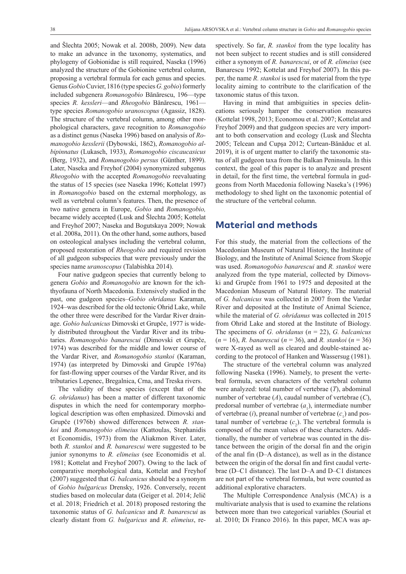and Šlechta 2005; Nowak et al. 2008b, 2009). New data to make an advance in the taxonomy, systematics, and phylogeny of Gobionidae is still required, Naseka (1996) analyzed the structure of the Gobionine vertebral column, proposing a vertebral formula for each genus and species. Genus *Gobio* Cuvier, 1816 (type species *G. gobio*) formerly included subgenera *Romanogobio* Bănărescu, 196—type species *R. kessleri*—and *Rheogobio* Bănărescu, 1961 type species *Romanogobio uranoscopus* (Agassiz, 1828). The structure of the vertebral column, among other morphological characters, gave recognition to *Romanogobio* as a distinct genus (Naseka 1996) based on analysis of *Romanogobio kesslerii* (Dybowski, 1862), *Romanogobio albipinnatus* (Lukasch, 1933), *Romanogobio ciscaucasicus* (Berg, 1932), and *Romanogobio persus* (Günther, 1899). Later, Naseka and Freyhof (2004) synonymized subgenus *Rheogobio* with the accepted *Romanogobio* reevaluating the status of 15 species (see Naseka 1996; Kottelat 1997) in *Romanogobio* based on the external morphology, as well as vertebral column's features. Then, the presence of two native genera in Europe, *Gobio* and *Romanogobio,* became widely accepted (Lusk and Šlechta 2005; Kottelat and Freyhof 2007; Naseka and Bogutskaya 2009; Nowak et al. 2008a, 2011). On the other hand, some authors, based on osteological analyses including the vertebral column, proposed restoration of *Rheogobio* and required revision of all gudgeon subspecies that were previously under the species name *uranoscopus* (Talabishka 2014).

Four native gudgeon species that currently belong to genera *Gobio* and *Romanogobio* are known for the ichthyofauna of North Macedonia. Extensively studied in the past, one gudgeon species–*Gobio ohridanus* Karaman, 1924–was described for the old tectonic Ohrid Lake, while the other three were described for the Vardar River drainage. *Gobio balcanicus* Dimovski et Grupče, 1977 is widely distributed throughout the Vardar River and its tributaries. *Romanogobio banarescui* (Dimovski et Grupče, 1974) was described for the middle and lower course of the Vardar River, and *Romanogobio stankoi* (Karaman, 1974) (as interpreted by Dimovski and Grupče 1976a) for fast-flowing upper courses of the Vardar River, and its tributaries Lepenec, Bregalnica, Crna, and Treska rivers.

The validity of these species (except that of the *G. ohridanus*) has been a matter of different taxonomic disputes in which the need for contemporary morphological description was often emphasized. Dimovski and Grupče (1976b) showed differences between *R. stankoi* and *Romanogobio elimeius* (Kattoulas, Stephanidis et Economidis, 1973) from the Aliakmon River. Later, both *R. stankoi* and *R. banarescui* were suggested to be junior synonyms to *R. elimeius* (see Economidis et al. 1981; Kottelat and Freyhof 2007). Owing to the lack of comparative morphological data, Kottelat and Freyhof (2007) suggested that *G. balcanicus* should be a synonym of *Gobio bulgaricus* Drensky, 1926. Conversely, recent studies based on molecular data (Geiger et al. 2014; Jelič et al. 2018; Friedrich et al. 2018) proposed restoring the taxonomic status of *G. balcanicus* and *R. banarescui* as clearly distant from *G. bulgaricus* and *R. elimeius*, respectively. So far, *R. stankoi* from the type locality has not been subject to recent studies and is still considered either a synonym of *R. banarescui*, or of *R. elimeius* (see Banarescu 1992; Kottelat and Freyhof 2007). In this paper, the name *R. stankoi* is used for material from the type locality aiming to contribute to the clarification of the taxonomic status of this taxon.

Having in mind that ambiguities in species delineations seriously hamper the conservation measures (Kottelat 1998, 2013; Economou et al. 2007; Kottelat and Freyhof 2009) and that gudgeon species are very important to both conservation and ecology (Lusk and Šlechta 2005; Telcean and Cupşa 2012; Curtean-Bănăduc et al. 2019), it is of urgent matter to clarify the taxonomic status of all gudgeon taxa from the Balkan Peninsula. In this context, the goal of this paper is to analyze and present in detail, for the first time, the vertebral formula in gudgeons from North Macedonia following Naseka's (1996) methodology to shed light on the taxonomic potential of the structure of the vertebral column.

### **Material and methods**

For this study, the material from the collections of the Macedonian Museum of Natural History, the Institute of Biology, and the Institute of Animal Science from Skopje was used. *Romanogobio banarescui* and *R. stankoi* were analyzed from the type material, collected by Dimovski and Grupče from 1961 to 1975 and deposited at the Macedonian Museum of Natural History. The material of *G. balcanicus* was collected in 2007 from the Vardar River and deposited at the Institute of Animal Science, while the material of *G. ohridanus* was collected in 2015 from Ohrid Lake and stored at the Institute of Biology. The specimens of *G. ohridanus* (*n* = 22), *G. balcanicus* (*n* = 16), *R. banarescui* (*n* = 36), and *R. stankoi* (*n* = 36) were X-rayed as well as cleared and double-stained according to the protocol of Hanken and Wassersug (1981).

The structure of the vertebral column was analyzed following Naseka (1996). Namely, to present the vertebral formula, seven characters of the vertebral column were analyzed: total number of vertebrae (*T*), abdominal number of vertebrae (*A*), caudal number of vertebrae (*C*), predorsal number of vertebrae  $(a_1)$ , intermediate number of vertebrae  $(i)$ , preanal number of vertebrae  $(c_1)$  and pos $t$  tanal number of vertebrae  $(c_2)$ . The vertebral formula is composed of the mean values of these characters. Additionally, the number of vertebrae was counted in the distance between the origin of the dorsal fin and the origin of the anal fin (D–A distance), as well as in the distance between the origin of the dorsal fin and first caudal vertebrae (D–C1 distance). The last D–A and D–C1 distances are not part of the vertebral formula, but were counted as additional explorative characters.

The Multiple Correspondence Analysis (MCA) is a multivariate analysis that is used to examine the relations between more than two categorical variables (Sourial et al. 2010; Di Franco 2016). In this paper, MCA was ap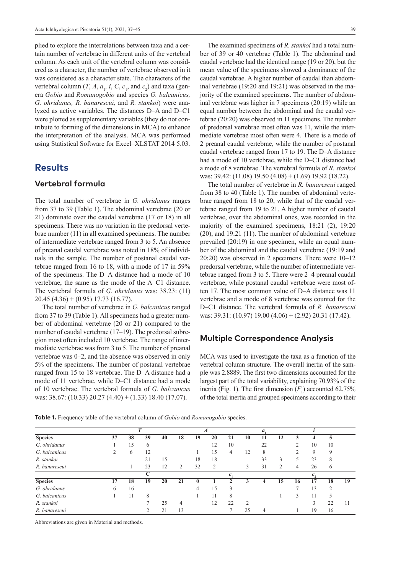plied to explore the interrelations between taxa and a certain number of vertebrae in different units of the vertebral column. As each unit of the vertebral column was considered as a character, the number of vertebrae observed in it was considered as a character state. The characters of the vertebral column  $(T, A, a_{1}, i, C, c_{1}, \text{ and } c_{2})$  and taxa (genera *Gobio* and *Romanogobio* and species *G. balcanicus, G. ohridanus, R. banarescui*, and *R. stankoi*) were analyzed as active variables. The distances D–A and D–C1 were plotted as supplementary variables (they do not contribute to forming of the dimensions in MCA) to enhance the interpretation of the analysis. MCA was performed using Statistical Software for Excel–XLSTAT 2014 5.03.

## **Results**

#### **Vertebral formula**

The total number of vertebrae in *G. ohridanus* ranges from 37 to 39 (Table 1). The abdominal vertebrae (20 or 21) dominate over the caudal vertebrae (17 or 18) in all specimens. There was no variation in the predorsal vertebrae number (11) in all examined specimens. The number of intermediate vertebrae ranged from 3 to 5. An absence of preanal caudal vertebrae was noted in 18% of individuals in the sample. The number of postanal caudal vertebrae ranged from 16 to 18, with a mode of 17 in 59% of the specimens. The D–A distance had a mode of 10 vertebrae, the same as the mode of the A–C1 distance. The vertebral formula of *G. ohridanus* was: 38.23: (11)  $20.45$  (4.36) + (0.95) 17.73 (16.77).

The total number of vertebrae in *G. balcanicus* ranged from 37 to 39 (Table 1). All specimens had a greater number of abdominal vertebrae (20 or 21) compared to the number of caudal vertebrae (17–19). The predorsal subregion most often included 10 vertebrae. The range of intermediate vertebrae was from 3 to 5. The number of preanal vertebrae was 0–2, and the absence was observed in only 5% of the specimens. The number of postanal vertebrae ranged from 15 to 18 vertebrae. The D–A distance had a mode of 11 vertebrae, while D–C1 distance had a mode of 10 vertebrae. The vertebral formula of *G. balcanicus* was: 38.67: (10.33) 20.27 (4.40) + (1.33) 18.40 (17.07).

The examined specimens of *R. stankoi* had a total number of 39 or 40 vertebrae (Table 1). The abdominal and caudal vertebrae had the identical range (19 or 20), but the mean value of the specimens showed a dominance of the caudal vertebrae. A higher number of caudal than abdominal vertebrae (19:20 and 19:21) was observed in the majority of the examined specimens. The number of abdominal vertebrae was higher in 7 specimens (20:19) while an equal number between the abdominal and the caudal vertebrae (20:20) was observed in 11 specimens. The number of predorsal vertebrae most often was 11, while the intermediate vertebrae most often were 4. There is a mode of 2 preanal caudal vertebrae, while the number of postanal caudal vertebrae ranged from 17 to 19. The D–A distance had a mode of 10 vertebrae, while the D–C1 distance had a mode of 8 vertebrae. The vertebral formula of *R. stankoi* was: 39.42: (11.08) 19.50 (4.08) + (1.69) 19.92 (18.22).

The total number of vertebrae in *R. banarescui* ranged from 38 to 40 (Table 1). The number of abdominal vertebrae ranged from 18 to 20, while that of the caudal vertebrae ranged from 19 to 21. A higher number of caudal vertebrae, over the abdominal ones, was recorded in the majority of the examined specimens, 18:21 (2), 19:20 (20), and 19:21 (11). The number of abdominal vertebrae prevailed (20:19) in one specimen, while an equal number of the abdominal and the caudal vertebrae (19:19 and 20:20) was observed in 2 specimens. There were 10–12 predorsal vertebrae, while the number of intermediate vertebrae ranged from 3 to 5. There were 2–4 preanal caudal vertebrae, while postanal caudal vertebrae were most often 17. The most common value of D–A distance was 11 vertebrae and a mode of 8 vertebrae was counted for the D–C1 distance. The vertebral formula of *R. banarescui* was: 39.31: (10.97) 19.00 (4.06) + (2.92) 20.31 (17.42).

#### **Multiple Correspondence Analysis**

MCA was used to investigate the taxa as a function of the vertebral column structure. The overall inertia of the sample was 2.8889. The first two dimensions accounted for the largest part of the total variability, explaining 70.93% of the inertia (Fig. 1). The first dimension  $(F_1)$  accounted 62.75% of the total inertia and grouped specimens according to their

**Table 1.** Frequency table of the vertebral column of *Gobio* and *Romanogobio* species.

|                |         |    | m           |    |               |    |    |    |                | a, |                |    |    |    |    |
|----------------|---------|----|-------------|----|---------------|----|----|----|----------------|----|----------------|----|----|----|----|
| <b>Species</b> | 37      | 38 | 39          | 40 | 18            | 19 | 20 | 21 | 10             | 11 | 12             |    |    |    |    |
| G. ohridanus   |         | 15 | 6           |    |               |    | 12 | 10 |                | 22 |                |    | 10 | 10 |    |
| G. balcanicus  |         | 6  | 12          |    |               |    | د، | 4  | 12             | 8  |                |    | 9  | 9  |    |
| R. stankoi     |         |    | 21          | 15 |               | 18 | 18 |    |                | 33 | 3              |    | 23 | 8  |    |
| R. banarescui  |         |    | 23          | 12 | $\mathcal{D}$ | 32 | 2  |    |                | 31 | $\overline{2}$ | 4  | 26 | 6  |    |
|                |         |    | $\mathbf C$ |    |               |    |    | c. |                |    |                |    |    |    |    |
| <b>Species</b> | 17      | 18 | 19          | 20 | 21            |    |    | Δ  | 3              | 4  | 15             | 16 | 17 | 18 | 19 |
| G. ohridanus   | $\circ$ | 16 |             |    |               | 4  | 15 | 3  |                |    |                |    | 13 | ↑  |    |
| G. balcanicus  |         | 11 | 8           |    |               |    | 11 | 8  |                |    |                |    |    |    |    |
| R. stankoi     |         |    |             | 25 | 4             |    | 12 | 22 | $\mathfrak{D}$ |    |                |    |    | 22 |    |
| R. banarescui  |         |    |             | 21 | 13            |    |    |    | 25             | 4  |                |    | 19 | 16 |    |

Abbreviations are given in Material and methods.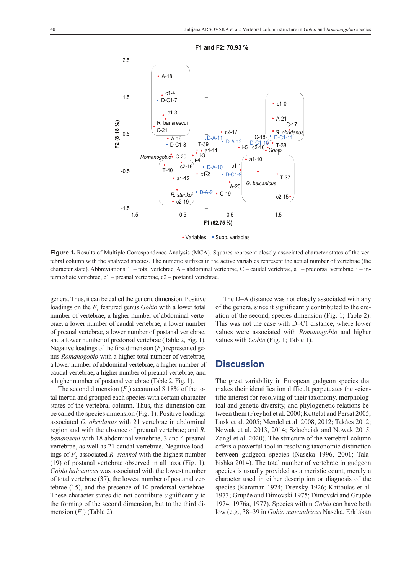

**F1 and F2: 70.93 %**

• Variables • Supp. variables

Figure 1. Results of Multiple Correspondence Analysis (MCA). Squares represent closely associated character states of the vertebral column with the analyzed species. The numeric suffixes in the active variables represent the actual number of vertebrae (the character state). Abbreviations: T – total vertebrae, A – abdominal vertebrae, C – caudal vertebrae, a1 – predorsal vertebrae, i – intermediate vertebrae, c1 – preanal vertebrae, c2 – postanal vertebrae.

genera. Thus, it can be called the generic dimension. Positive loadings on the  $F_1$  featured genus *Gobio* with a lower total number of vertebrae, a higher number of abdominal vertebrae, a lower number of caudal vertebrae, a lower number of preanal vertebrae, a lower number of postanal vertebrae, and a lower number of predorsal vertebrae (Table 2, Fig. 1). Negative loadings of the first dimension  $(F_1)$  represented genus *Romanogobio* with a higher total number of vertebrae, a lower number of abdominal vertebrae, a higher number of caudal vertebrae, a higher number of preanal vertebrae, and a higher number of postanal vertebrae (Table 2, Fig. 1).

The second dimension  $(F_2)$  accounted 8.18% of the total inertia and grouped each species with certain character states of the vertebral column. Thus, this dimension can be called the species dimension (Fig. 1). Positive loadings associated *G. ohridanus* with 21 vertebrae in abdominal region and with the absence of preanal vertebrae; and *R. banarescui* with 18 abdominal vertebrae, 3 and 4 preanal vertebrae, as well as 21 caudal vertebrae. Negative loadings of  $F_2$  associated *R. stankoi* with the highest number (19) of postanal vertebrae observed in all taxa (Fig. 1). *Gobio balcanicus* was associated with the lowest number of total vertebrae (37), the lowest number of postanal vertebrae (15), and the presence of 10 predorsal vertebrae. These character states did not contribute significantly to the forming of the second dimension, but to the third dimension  $(F_2)$  (Table 2).

The D–A distance was not closely associated with any of the genera, since it significantly contributed to the creation of the second, species dimension (Fig. 1; Table 2). This was not the case with D–C1 distance, where lower values were associated with *Romanogobio* and higher values with *Gobio* (Fig. 1; Table 1).

### **Discussion**

The great variability in European gudgeon species that makes their identification difficult perpetuates the scientific interest for resolving of their taxonomy, morphological and genetic diversity, and phylogenetic relations between them (Freyhof et al. 2000; Kottelat and Persat 2005; Lusk et al. 2005; Mendel et al. 2008, 2012; Takács 2012; Nowak et al. 2013, 2014; Szlachciak and Nowak 2015; Zangl et al. 2020). The structure of the vertebral column offers a powerful tool in resolving taxonomic distinction between gudgeon species (Naseka 1996, 2001; Talabishka 2014). The total number of vertebrae in gudgeon species is usually provided as a meristic count, merely a character used in either description or diagnosis of the species (Karaman 1924; Drensky 1926; Kattoulas et al. 1973; Grupče and Dimovski 1975; Dimovski and Grupče 1974, 1976a, 1977). Species within *Gobio* can have both low (e.g., 38–39 in *Gobio maeandricus* Naseka, Erk'akan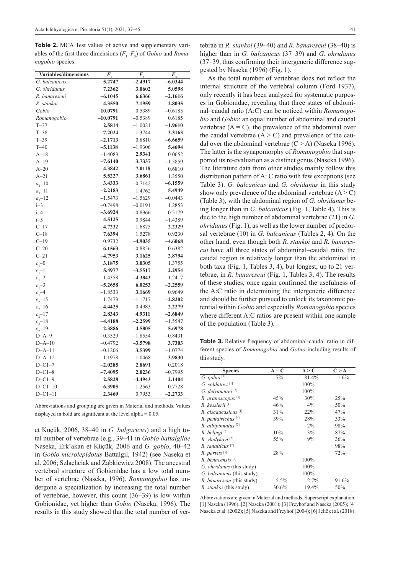**Table 2.** MCA Test values of active and supplementary variables of the first three dimensions  $(F_1 - F_3)$  of *Gobio* and *Romanogobio* species.

| Variables/dimensions | $\overline{F}_1$ | $F_{\frac{2}{3}}$ | $\overline{F}_3$ |
|----------------------|------------------|-------------------|------------------|
| G. balcanicus        | 5.2747           | $-2.4917$         | $-6.0344$        |
| G. ohridanus         | 7.2362           | 3.0602            | 5.0598           |
| R. banarescui        | $-6.1045$        | 6.6366            | $-2.1616$        |
| R. stankoi           | $-4.3550$        | -7.1959           | 2.8035           |
| Gobio                | 10.0791          | 0.5389            | $-0.6185$        |
| Romanogobio          | $-10.0791$       | $-0.5389$         | 0.6185           |
| $T - 37$             | 2.5814           | $-1.0021$         | -1.9610          |
| $T-38$               | 7.2024           | 1.3744            | 3.3163           |
| $T-39$               | $-2.1713$        | 0.8810            | $-6.6659$        |
| $T-40$               | $-5.1138$        | $-1.9306$         | 5.4694           |
| $A-18$               | $-1.4083$        | 2.9341            | 0.0652           |
| $A-19$               | $-7.6140$        | 3.7337            | $-1.5859$        |
| $A-20$               | 4.3842           | $-7.0118$         | 0.6810           |
| $A-21$               | 5.5227           | 3.6861            | 1.3550           |
| $a_1 - 10$           | 3.4333           | $-0.7142$         | $-6.1559$        |
| $a_1 - 11$           | $-2.2183$        | 1.4762            | 5.4949           |
| $a_1 - 12$           | $-1.5473$        | $-1.5629$         | $-0.0443$        |
| $i-3$                | $-0.7498$        | $-0.0191$         | 1.2853           |
| $i - 4$              | $-3.6924$        | $-0.8966$         | 0.5179           |
| $i-5$                | 4.5125           | 0.9844            | $-1.4389$        |
| $C-17$               | 4.7232           | 1.6875            | 2.2329           |
| $C-18$               | 7.6394           | 1.5278            | 0.9230           |
| $C-19$               | 0.9732           | $-4.9035$         | $-4.6068$        |
| $C-20$               | $-6.1563$        | $-0.8856$         | $-0.6382$        |
| $C-21$               | $-4.7953$        | 3.1625            | 2.8794           |
| $c_{1}$ -0           | 3.1875           | 3.0305            | 1.3755           |
| $c_1 - 1$            | 5.4977           | $-3.5517$         | 2.2954           |
| $c_1 - 2$            | $-1.4358$        | $-4.3843$         | $-1.2417$        |
| $c_1 - 3$            | $-5.2658$        | 6.0253            | $-2.2559$        |
| $c_1 - 4$            | $-1.8533$        | 3.1669            | 0.9649           |
| $c_2$ -15            | 1.7473           | $-1.1717$         | $-2.8202$        |
| $c_2 - 16$           | 4.4425           | 0.4983            | 2.2279           |
| $c_{2}$ -17          | 2.8343           | 4.9311            | $-2.6849$        |
| $c_2 - 18$           | $-4.4188$        | $-2.2599$         | $-1.5547$        |
| $c_2$ -19            | $-2.3886$        | $-4.5805$         | 5.6978           |
| $D-A-9$              | $-0.3529$        | $-1.8554$         | $-0.8431$        |
| $D-A-10$             | $-0.4792$        | $-3.5798$         | 3.7303           |
| $D-A-11$             | $-0.1206$        | 3.5399            | $-1.0774$        |
| $D-A-12$             | 1.1978           | 1.0468            | $-3.9830$        |
| $D - C1 - 7$         | $-2.0285$        | 2.8691            | 0.2018           |
| $D - C1 - 8$         | $-7.4095$        | 2.0236            | $-0.7995$        |
| $D - C1 - 9$         | 2.5828           | $-4.4943$         | 2.1404           |
| $D - C1 - 10$        | 6.3905           | 1.2563            | $-0.7728$        |
| $D - C1 - 11$        | 2.3469           | 0.7953            | $-2.2733$        |

Abbreviations and grouping are given in Material and methods. Values displayed in bold are significant at the level alpha = 0.05.

et Küçük, 2006, 38–40 in *G. bulgaricus*) and a high total number of vertebrae (e.g., 39–41 in *Gobio battalgilae*  Naseka, Erk'akan et Küçük, 2006 and *G. gobio*, 40–42 in *Gobio microlepidotus* Battalgil, 1942) (see Naseka et al. 2006; Szlachciak and Ząbkiewicz 2008). The ancestral vertebral structure of Gobionidae has a low total number of vertebrae (Naseka, 1996). *Romanogobio* has undergone a specialization by increasing the total number of vertebrae, however, this count (36–39) is low within Gobionidae, yet higher than *Gobio* (Naseka, 1996). The results in this study showed that the total number of ver-

tebrae in *R. stankoi* (39–40) and *R. banarescui* (38–40) is higher than in *G. balcanicus* (37–39) and *G. ohridanus* (37–39, thus confirming their intergeneric difference suggested by Naseka (1996) (Fig. 1).

As the total number of vertebrae does not reflect the internal structure of the vertebral column (Ford 1937), only recently it has been analyzed for systematic purposes in Gobionidae, revealing that three states of abdominal–caudal ratio (A:C) can be noticed within *Romanogobio* and *Gobio*: an equal number of abdominal and caudal vertebrae  $(A = C)$ , the prevalence of the abdominal over the caudal vertebrae  $(A > C)$  and prevalence of the caudal over the abdominal vertebrae  $(C > A)$  (Naseka 1996). The latter is the synapomorphy of *Romanogobio* that supported its re-evaluation as a distinct genus (Naseka 1996). The literature data from other studies mainly follow this distribution pattern of A: C ratio with few exceptions (see Table 3). *G. balcanicus* and *G. ohridanus* in this study show only prevalence of the abdominal vertebrae  $(A > C)$ (Table 3), with the abdominal region of *G. ohridanus* being longer than in *G. balcanicus* (Fig. 1, Table 4). This is due to the high number of abdominal vertebrae (21) in *G. ohridanus* (Fig. 1), as well as the lower number of predorsal vertebrae (10) in *G. balcanicus* (Tables 2, 4). On the other hand, even though both *R. stankoi* and *R. banarescui* have all three states of abdominal–caudal ratio, the caudal region is relatively longer than the abdominal in both taxa (Fig. 1, Tables 3, 4), but longest, up to 21 vertebrae, in *R. banarescui* (Fig. 1, Tables 3, 4). The results of these studies, once again confirmed the usefulness of the A:C ratio in determining the intergeneric difference and should be further pursued to unlock its taxonomic potential within *Gobio* and especially *Romanogobio* species where different A:C ratios are present within one sample of the population (Table 3).

**Table 3.** Relative frequency of abdominal-caudal ratio in different species of *Romanogobio* and *Gobio* including results of this study.

| <b>Species</b>                  | $A = C$ | A > C | C > A |
|---------------------------------|---------|-------|-------|
| G. gobio $[1]$                  | 7%      | 81.4% | 1.6%  |
| G. soldatovi <sup>[1]</sup>     |         | 100%  |       |
| G. delyamurei <sup>[3]</sup>    |         | 100%  |       |
| R. uranoscopus <sup>[1]</sup>   | 45%     | 30%   | 25%   |
| R. kesslerii <sup>[1]</sup>     | 46%     | $4\%$ | 50%   |
| R. ciscaucasicus <sup>[1]</sup> | 31%     | 22%   | 47%   |
| R. pentatrichus <sup>[4]</sup>  | 39%     | 28%   | 33%   |
| R. albipinnatus <sup>[2]</sup>  |         | 2%    | 98%   |
| R. belingi <sup>[2]</sup>       | 10%     | 3%    | 87%   |
| R. vladykovi <sup>[2]</sup>     | 55%     | 9%    | 36%   |
| R. tanaiticus <sup>[2]</sup>    |         |       | 98%   |
| $R.$ parvus $^{[5]}$            | 28%     |       | 72%   |
| R. benacensis <sup>[6]</sup>    |         | 100%  |       |
| G. ohridanus (this study)       |         | 100%  |       |
| G. balcanicus (this study)      |         | 100%  |       |
| R. banarescui (this study)      | 5.5%    | 2.7%  | 91.6% |
| R. stankoi (this study)         | 30.6%   | 19.4% | 50%   |

Abbreviations are given in Material and methods. Superscript explanation: [1] Naseka (1996); [2] Naseka (2001); [3] Freyhof and Naseka (2005); [4] Naseka et al. (2002); [5] Naseka and Freyhof (2004); [6] Jelič et al. (2018).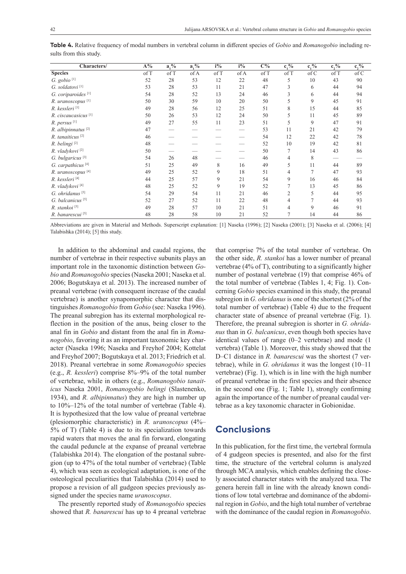| Characters/                     | $A\%$ | $a_1\%$ | $a_1\%$ | $i\%$ | $i\%$ | $C\%$ | $\overline{c_1\%}$ | $c_1\%$ | $c_2^{\, 0}/_0$ | $\overline{c_2^{0}/_0}$ |
|---------------------------------|-------|---------|---------|-------|-------|-------|--------------------|---------|-----------------|-------------------------|
| <b>Species</b>                  | of T  | of T    | of A    | of T  | of A  | of T  | of T               | of C    | of T            | of C                    |
| G. gobio $^{\lbrack 1\rbrack}$  | 52    | 28      | 53      | 12    | 22    | 48    | 5                  | 10      | 43              | 90                      |
| G. soldatovi <sup>[1]</sup>     | 53    | 28      | 53      | 11    | 21    | 47    | 3                  | 6       | 44              | 94                      |
| G. coriparoides <sup>[1]</sup>  | 54    | 28      | 52      | 13    | 24    | 46    | 3                  | 6       | 44              | 94                      |
| R. uranoscopus <sup>[1]</sup>   | 50    | 30      | 59      | 10    | 20    | 50    |                    | 9       | 45              | 91                      |
| R. kessleri <sup>[1]</sup>      | 49    | 28      | 56      | 12    | 25    | 51    | 8                  | 15      | 44              | 85                      |
| R. ciscaucasicus <sup>[1]</sup> | 50    | 26      | 53      | 12    | 24    | 50    | 5                  | 11      | 45              | 89                      |
| R. persus <sup>[1]</sup>        | 49    | 27      | 55      | 11    | 23    | 51    | 5                  | 9       | 47              | 91                      |
| R. albipinnatus <sup>[2]</sup>  | 47    |         |         |       |       | 53    | 11                 | 21      | 42              | 79                      |
| R. tanaiticus <sup>[2]</sup>    | 46    |         |         |       |       | 54    | 12                 | 22      | 42              | 78                      |
| R. belingi <sup>[2]</sup>       | 48    |         |         |       |       | 52    | 10                 | 19      | 42              | 81                      |
| R. vladykovi <sup>[2]</sup>     | 50    |         |         |       |       | 50    | 7                  | 14      | 43              | 86                      |
| G. bulgaricus <sup>[3]</sup>    | 54    | 26      | 48      |       |       | 46    | 4                  | 8       |                 |                         |
| G. carpathicus <sup>[4]</sup>   | 51    | 25      | 49      | 8     | 16    | 49    | 5                  | 11      | 44              | 89                      |
| R. uranoscopus <sup>[4]</sup>   | 49    | 25      | 52      | 9     | 18    | 51    | 4                  | 7       | 47              | 93                      |
| R. kessleri <sup>[4]</sup>      | 44    | 25      | 57      | 9     | 21    | 54    | 9                  | 16      | 46              | 84                      |
| R. vladykovi <sup>[4]</sup>     | 48    | 25      | 52      | 9     | 19    | 52    | 7                  | 13      | 45              | 86                      |
| $G.$ ohridanus $[5]$            | 54    | 29      | 54      | 11    | 21    | 46    | $\overline{c}$     | 5       | 44              | 95                      |
| G. balcanicus <sup>[5]</sup>    | 52    | 27      | 52      | 11    | 22    | 48    | 4                  |         | 44              | 93                      |
| R. stankoi [5]                  | 49    | 28      | 57      | 10    | 21    | 51    | 4                  | 9       | 46              | 91                      |
| R. banarescui <sup>[5]</sup>    | 48    | 28      | 58      | 10    | 21    | 52    | 7                  | 14      | 44              | 86                      |

**Table 4.** Relative frequency of modal numbers in vertebral column in different species of *Gobio* and *Romanogobio* including results from this study.

Abbreviations are given in Material and Methods. Superscript explanation: [1] Naseka (1996); [2] Naseka (2001); [3] Naseka et al. (2006); [4] Talabishka (2014); [5] this study.

In addition to the abdominal and caudal regions, the number of vertebrae in their respective subunits plays an important role in the taxonomic distinction between *Gobio* and *Romanogobio* species (Naseka 2001; Naseka et al. 2006; Bogutskaya et al. 2013). The increased number of preanal vertebrae (with consequent increase of the caudal vertebrae) is another synapomorphic character that distinguishes *Romanogobio* from *Gobio* (see: Naseka 1996). The preanal subregion has its external morphological reflection in the position of the anus, being closer to the anal fin in *Gobio* and distant from the anal fin in *Romanogobio*, favoring it as an important taxonomic key character (Naseka 1996; Naseka and Freyhof 2004; Kottelat and Freyhof 2007; Bogutskaya et al. 2013; Friedrich et al. 2018). Preanal vertebrae in some *Romanogobio* species (e.g., *R. kessleri*) comprise 8%–9% of the total number of vertebrae, while in others (e.g., *Romanogobio tanaiticus* Naseka 2001, *Romanogobio belingi* (Slastenenko, 1934), and *R. albipinnatus*) they are high in number up to 10%–12% of the total number of vertebrae (Table 4). It is hypothesized that the low value of preanal vertebrae (plesiomorphic characteristic) in *R. uranoscopus* (4%– 5% of T) (Table 4) is due to its specialization towards rapid waters that moves the anal fin forward, elongating the caudal peduncle at the expanse of preanal vertebrae (Talabishka 2014). The elongation of the postanal subregion (up to 47% of the total number of vertebrae) (Table 4), which was seen as ecological adaptation, is one of the osteological peculiarities that Talabishka (2014) used to propose a revision of all gudgeon species previously assigned under the species name *uranoscopus*.

The presently reported study of *Romanogobio* species showed that *R. banarescui* has up to 4 preanal vertebrae

that comprise 7% of the total number of vertebrae. On the other side, *R. stankoi* has a lower number of preanal vertebrae (4% of T), contributing to a significantly higher number of postanal vertebrae (19) that comprise 46% of the total number of vertebrae (Tables 1, 4; Fig. 1). Concerning *Gobio* species examined in this study, the preanal subregion in *G. ohridanus* is one of the shortest (2% of the total number of vertebrae) (Table 4) due to the frequent character state of absence of preanal vertebrae (Fig. 1). Therefore, the preanal subregion is shorter in *G. ohridanus* than in *G. balcanicus*, even though both species have identical values of range (0–2 vertebrae) and mode (1 vertebra) (Table 1). Moreover, this study showed that the D–C1 distance in *R. banarescui* was the shortest (7 vertebrae), while in *G. ohridanus* it was the longest (10–11 vertebrae) (Fig. 1), which is in line with the high number of preanal vertebrae in the first species and their absence in the second one (Fig. 1; Table 1), strongly confirming again the importance of the number of preanal caudal vertebrae as a key taxonomic character in Gobionidae.

# **Conclusions**

In this publication, for the first time, the vertebral formula of 4 gudgeon species is presented, and also for the first time, the structure of the vertebral column is analyzed through MCA analysis, which enables defining the closely associated character states with the analyzed taxa. The genera herein fall in line with the already known conditions of low total vertebrae and dominance of the abdominal region in *Gobio*, and the high total number of vertebrae with the dominance of the caudal region in *Romanogobio*.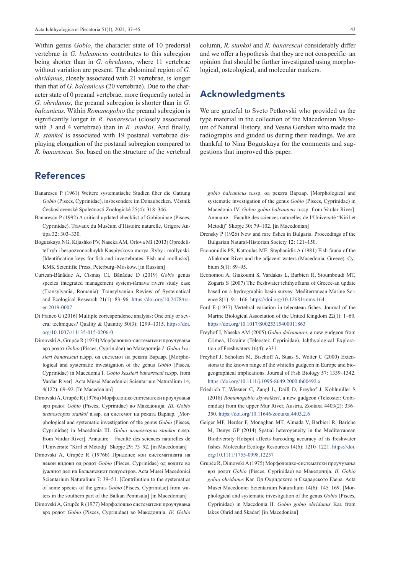Within genus *Gobio*, the character state of 10 predorsal vertebrae in *G. balcanicus* contributes to this subregion being shorter than in *G. ohridanus*, where 11 vertebrae without variation are present. The abdominal region of *G. ohridanus*, closely associated with 21 vertebrae, is longer than that of *G. balcanicus* (20 vertebrae). Due to the character state of 0 preanal vertebrae, more frequently noted in *G. ohridanus*, the preanal subregion is shorter than in *G. balcanicus.* Within *Romanogobio* the preanal subregion is significantly longer in *R. banarescui* (closely associated with 3 and 4 vertebrae) than in *R. stankoi*. And finally, *R. stankoi* is associated with 19 postanal vertebrae displaying elongation of the postanal subregion compared to *R. banarescui.* So, based on the structure of the vertebral

# **References**

- Banarescu P (1961) Weitere systematische Studien über die Gattung *Gobio* (Pisces, Cyprinidae), insbesondere im Donaubecken. Vĕstník Československé Společnosti Zoologické 25(4): 318–346.
- Banarescu P (1992) A critical updated checklist of Gobioninae (Pisces, Cyprinidae). Travaux du Muséum d'Histoire naturelle. Grigore Antipa 32: 303–330.
- Bogutskaya NG, Kijashko PV, Naseka AM, Orlova MI (2013) Opredelitel'ryb i bespozvonochnykh Kaspiyskovo morya. Ryby i mollyuski. [Identification keys for fish and invertebrates. Fish and mollusks]. KMK Scientific Press, Peterburg–Moskow. [in Russian]
- Curtean-Bănăduc A, Cismaş CI, Bănăduc D (2019) *Gobio* genus species integrated management system-târnava rivers study case (Transylvania, Romania). Transylvanian Review of Systematical and Ecological Research 21(1): 83–96. [https://doi.org/10.2478/trs](https://doi.org/10.2478/trser-2019-0007)[er-2019-0007](https://doi.org/10.2478/trser-2019-0007)
- Di Franco G (2016) Multiple correspondence analysis: One only or several techniques? Quality & Quantity 50(3): 1299–1315. [https://doi.](https://doi.org/10.1007/s11135-015-0206-0) [org/10.1007/s11135-015-0206-0](https://doi.org/10.1007/s11135-015-0206-0)
- DimovskiA, Grupče R (1974) Морфолошко-систематски проучувања врз родот *Gobio* (Pisces, Cyprinidae) во Македонија *I. Gobio kessleri banarescui* n.spp. од системот на реката Вардар. [Morphological and systematic investigation of the genus *Gobio* (Pisces, Cyprinidae) in Macedonia I. *Gobio kessleri banarescui* n.spp. from Vardar River]. Acta Musei Macedonici Scientarium Naturalium 14, 4(122): 69–92. [In Macedonian]
- DimovskiA, GrupčeR (1976a) Морфолошко систематски проучувања врз родот *Gobio* (Pisces, Cyprinidae) во Македонија. *III. Gobio uranoscopus stankoi* n.ssp. од системот на реката Вардар. [Morphological and systematic investigation of the genus *Gobio* (Pisces, Cyprinidae) in Macedonia III. *Gobio uranoscopus stankoi* n.ssp. from Vardar River]. Annuaire – Faculté des sciences naturelles de l'Université "Kiril et Metodij" Skopje 29: 73–92. [in Macedonian]
- Dimovski A, Grupče R (1976b) Придонес кон систематиката на некои видови од родот *Gobio* (Pisces, Cyprinidae) од водите во јужниот дел на Балканскиот полуостров. Acta Musei Macedonici Scientarium Naturalium 7: 39–51. [Contribution to the systematics of some species of the genus *Gobio* (Pisces, Cyprinidae) from waters in the southern part of the Balkan Peninsula] [in Macedonian]
- DimovskiA, Grupče R (1977) Морфолошко систематски проучувања врз родот *Gobio* (Pisces, Cyprinidae) во Македонија. *IV. Gobio*

column, *R. stankoi* and *R. banarescui* considerably differ and we offer a hypothesis that they are not conspecific–an opinion that should be further investigated using morphological, osteological, and molecular markers.

### **Acknowledgments**

We are grateful to Sveto Petkovski who provided us the type material in the collection of the Macedonian Museum of Natural History, and Vesna Gershan who made the radiographs and guided us during their readings. We are thankful to Nina Bogutskaya for the comments and suggestions that improved this paper.

*gobio balcanicus* n.ssp. од реката Вардар. [Morphological and systematic investigation of the genus *Gobio* (Pisces, Cyprinidae) in Macedonia IV. *Gobio gobio balcanicus* n.ssp. from Vardar River]. Annuaire – Faculté des sciences naturelles de l'Université "Kiril et Metodij" Skopje 30: 79–102. [in Macedonian]

- Drensky P (1926) New and rare fishes in Bulgaria. Proceedings of the Bulgarian Natural-Historian Society 12: 121–150.
- Economidis PS, Kattoulas ME, Stephanidis A (1981) Fish fauna of the Aliakmon River and the adjacent waters (Macedonia, Greece). Cybium 5(1): 89–95.
- Economou A, Giakoumi S, Vardakas L, Barbieri R, Stoumboudi MΤ, Zogaris S (2007) The freshwater ichthyofauna of Greece-an update based on a hydrographic basin survey. Mediterranean Marine Science 8(1): 91–166. <https://doi.org/10.12681/mms.164>
- Ford E (1937) Vertebral variation in teleostean fishes. Journal of the Marine Biological Association of the United Kingdom 22(1): 1–60. <https://doi.org/10.1017/S0025315400011863>
- Freyhof J, Naseka AM (2005) *Gobio delyamurei*, a new gudgeon from Crimea, Ukraine (Teleostei: Cyprinidae). Ichthyological Exploration of Freshwaters 16(4): e331.
- Freyhof J, Scholten M, Bischoff A, Staas S, Wolter C (2000) Extensions to the known range of the whitefin gudgeon in Europe and biogeographical implications. Journal of Fish Biology 57: 1339–1342. <https://doi.org/10.1111/j.1095-8649.2000.tb00492.x>
- Friedrich T, Wiesner C, Zangl L, Daill D, Freyhof J, Koblmüller S (2018) *Romanogobio skywalkeri*, a new gudgeon (Teleostei: Gobionidae) from the upper Mur River, Austria. Zootaxa 4403(2): 336– 350. <https://doi.org/10.11646/zootaxa.4403.2.6>
- Geiger MF, Herder F, Monaghan MT, Almada V, Barbieri R, Bariche M, Denys GP (2014) Spatial heterogeneity in the Mediterranean Biodiversity Hotspot affects barcoding accuracy of its freshwater fishes. Molecular Ecology Resources 14(6): 1210–1221. [https://doi.](https://doi.org/10.1111/1755-0998.12257) [org/10.1111/1755-0998.12257](https://doi.org/10.1111/1755-0998.12257)
- Grupče R, DimovskiA (1975) Морфолошко-систематски проучувања врз родот *Gobio* (Pisces, Cyprinidae) во Македонија. *II. Gobio gobio ohridanus* Kar. Од Охридското и Скадарското Езера. Acta Musei Macedonici Scientarium Naturalium 14(6): 145–169. [Morphological and systematic investigation of the genus *Gobio* (Pisces, Cyprinidae) in Macedonia II. *Gobio gobio ohridanus* Kar. from lakes Ohrid and Skadar] [in Macedonian]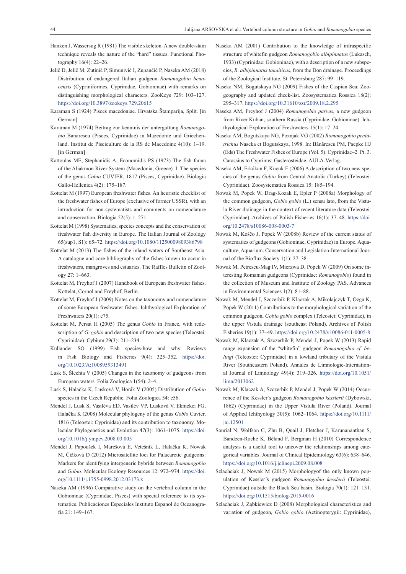- Hanken J, Wassersug R (1981) The visible skeleton. A new double-stain technique reveals the nature of the "hard" tissues. Functional Photography 16(4): 22–26.
- Jelič D, Jelič M, Zutinič P, Simunivič I, Zupančič P, Naseka AM (2018) Distribution of endangered Italian gudgeon *Romanogobio benacensis* (Cypriniformes, Cyprinidae, Gobioninae) with remarks on distinguishing morphological characters. ZooKeys 729: 103–127. <https://doi.org/10.3897/zookeys.729.20615>
- Karaman S (1924) Pisces macedoniae. Hrvatska Štamparija, Split. [in German]
- Karaman M (1974) Beitrag zur kenntnis der untergattung *Romanogobio* Banarescu (Pisces, Cyprinidae) in Mazedonie und Griechenland. Institut de Pisciculture de la RS de Macedoine 4(10): 1–19. [in German]
- Kattoulas ME, Stephanidis A, Economidis PS (1973) The fish fauna of the Aliakmon River System (Macedonia, Greece). I. The species of the genus *Cobio* CUVIER, 1817 (Pisces, Cyprinidae). Biologia Gallo-Hellenica 4(2): 175–187.
- Kottelat M (1997) European freshwater fishes. An heuristic checklist of the freshwater fishes of Europe (exclusive of former USSR), with an introduction for non-systematists and comments on nomenclature and conservation. Biologia 52(5): 1–271.
- Kottelat M (1998) Systematics, species concepts and the conservation of freshwater fish diversity in Europe. The Italian Journal of Zoology 65(sup1, S1): 65–72.<https://doi.org/10.1080/11250009809386798>
- Kottelat M (2013) The fishes of the inland waters of Southeast Asia: A catalogue and core bibliography of the fishes known to occur in freshwaters, mangroves and estuaries. The Raffles Bulletin of Zoology 27: 1–663.
- Kottelat M, Freyhof J (2007) Handbook of European freshwater fishes. Kottelat, Cornol and Freyhof, Berlin.
- Kottelat M, Freyhof J (2009) Notes on the taxonomy and nomenclature of some European freshwater fishes. Ichthyological Exploration of Freshwaters 20(1): e75.
- Kottelat M, Persat H (2005) The genus *Gobio* in France, with redescription of *G. gobio* and description of two new species (Teleostei: Cyprinidae). Cybium 29(3): 211–234.
- Kullander SO (1999) Fish species-how and why. Reviews in Fish Biology and Fisheries 9(4): 325–352. [https://doi.](https://doi.org/10.1023/A:1008959313491) [org/10.1023/A:1008959313491](https://doi.org/10.1023/A:1008959313491)
- Lusk S, Šlechta V (2005) Changes in the taxonomy of gudgeons from European waters. Folia Zoologica 1(54): 2–4.
- Lusk S, Halačka K, Lusková V, Horák V (2005) Distribution of *Gobio* species in the Czech Republic. Folia Zoologica 54: e56.
- Mendel J, Lusk S, Vasiléva ED, Vasilév VP, Lusková V, Ekmekci FG, Halačka K (2008) Molecular phylogeny of the genus *Gobio* Cuvier, 1816 (Teleostei: Cyprinidae) and its contribution to taxonomy. Molecular Phylogenetics and Evolution 47(3): 1061–1075. [https://doi.](https://doi.org/10.1016/j.ympev.2008.03.005) [org/10.1016/j.ympev.2008.03.005](https://doi.org/10.1016/j.ympev.2008.03.005)
- Mendel J, Papoušek I, Marešová E, Vetešník L, Halačka K, Nowak M, Čížková D (2012) Microsatellite loci for Palaearctic gudgeons: Markers for identifying intergeneric hybrids between *Romanogobio* and *Gobio.* Molecular Ecology Resources 12: 972–974. [https://doi.](https://doi.org/10.1111/j.1755-0998.2012.03173.x) [org/10.1111/j.1755-0998.2012.03173.x](https://doi.org/10.1111/j.1755-0998.2012.03173.x)
- Naseka AM (1996) Comparative study on the vertebral column in the Gobioninae (Cyprinidae, Pisces) with special reference to its systematics. Publicaciones Especiales Instituto Espanol de Oceanografia 21: 149–167.
- Naseka AM (2001) Contribution to the knowledge of infraspecific structure of whitefin gudgeon *Romanogobio albipinnatus* (Lukasch, 1933) (Cyprinidae: Gobioninae), with a description of a new subspecies, *R. albipinnatus tanaiticus*, from the Don drainage. Proceedings of the Zoological Institute, St. Peterrsburg 287: 99–119.
- Naseka NM, Bogutskaya NG (2009) Fishes of the Caspian Sea: Zoogeography and updated check-list. Zoosystematica Rossica 18(2): 295–317.<https://doi.org/10.31610/zsr/2009.18.2.295>
- Naseka AM, Freyhof J (2004) *Romanogobio parvus*, a new gudgeon from River Kuban, southern Russia (Cyprinidae, Gobioninae). Ichthyological Exploration of Freshwaters 15(1): 17–24.
- Naseka AM, Bogutskaya NG, Poznjak VG (2002) *Romanogobio pentatrichus* Naseka et Bogutskaya, 1998. In: Bǎnǎrescu PM, Paepke HJ (Eds) The Freshwater Fishes of Europe (Vol. 5). Cyprinidae–2. Pt. 3. Carassius to Cyprinus: Gasterosteidae. AULA-Verlag.
- Naseka AM, Erkákan F, Küçük F (2006) A description of two new species of the genus *Gobio* from Central Anatolia (Turkey) (Teleostei: Cyprinidae). Zoosystematica Rossica 15: 185–194.
- Nowak M, Popek W, Drąg-Kozak E, Epler P (2008a) Morphology of the common gudgeon, *Gobio gobio* (L.) sensu lato, from the Vistula River drainage in the context of recent literature data (Teleostei: Cyprinidae). Archives of Polish Fisheries 16(1): 37–48. [https://doi.](https://doi.org/10.2478/s10086-008-0003-7) [org/10.2478/s10086-008-0003-7](https://doi.org/10.2478/s10086-008-0003-7)
- Nowak M, Koščo J, Popek W (2008b) Review of the current status of systematics of gudgeons (Gobioninae, Cyprinidae) in Europe. Aquaculture, Aquarium. Conservation and Legislation-International Journal of the Bioflux Society 1(1): 27–38.
- Nowak M, Petrescu-Mag IV, Mierzwa D, Popek W (2009) On some interesting Romanian gudgeons (Cyprinidae: *Romanogobio*) found in the collection of Museum and Institute of Zoology PAS. Advances in Environmental Sciences 1(2): 81–88.
- Nowak M, Mendel J, Szczerbik P, Klaczak A, Mikołajczyk T, Ozga K, Popek W (2011) Contributions to the morphological variation of the common gudgeon, *Gobio gobio* complex (Teleostei: Cyprinidae), in the upper Vistula drainage (southeast Poland). Archives of Polish Fisheries 19(1): 37–49. <https://doi.org/10.2478/v10086-011-0005-8>
- Nowak M, Klaczak A, Szczerbik P, Mendel J, Popek W (2013) Rapid range expansion of the "whitefin" gudgeon *Romanogobio cf. belingi* (Teleostei: Cyprinidae) in a lowland tributary of the Vistula River (Southeastern Poland). Annales de Limnologie-International Journal of Limnology 49(4): 319–326. [https://doi.org/10.1051/](https://doi.org/10.1051/limn/2013062) [limn/2013062](https://doi.org/10.1051/limn/2013062)
- Nowak M, Klaczak A, Szczerbik P, Mendel J, Popek W (2014) Occurrence of the Kessler's gudgeon *Romanogobio kesslerii* (Dybowski, 1862) (Cyprinidae) in the Upper Vistula River (Poland). Journal of Applied Ichthyology 30(5): 1062–1064. [https://doi.org/10.1111/](https://doi.org/10.1111/jai.12501) [jai.12501](https://doi.org/10.1111/jai.12501)
- Sourial N, Wolfson C, Zhu B, Quail J, Fletcher J, Karunananthan S, Bandeen-Roche K, Béland F, Bergman H (2010) Correspondence analysis is a useful tool to uncover the relationships among categorical variables. Journal of Clinical Epidemiology 63(6): 638–646. <https://doi.org/10.1016/j.jclinepi.2009.08.008>
- Szlachciak J, Nowak M (2015) Morphologyof the only known population of Kessler's gudgeon *Romanogobio kesslerii* (Teleostei: Cyprinidae) outside the Black Sea basin. Biologia 70(1): 121–131. <https://doi.org/10.1515/biolog-2015-0016>
- Szlachciak J, Ząbkiewicz D (2008) Morphological characteristics and variation of gudgeon, *Gobio gobio* (Actinopterygii: Cyprinidae),